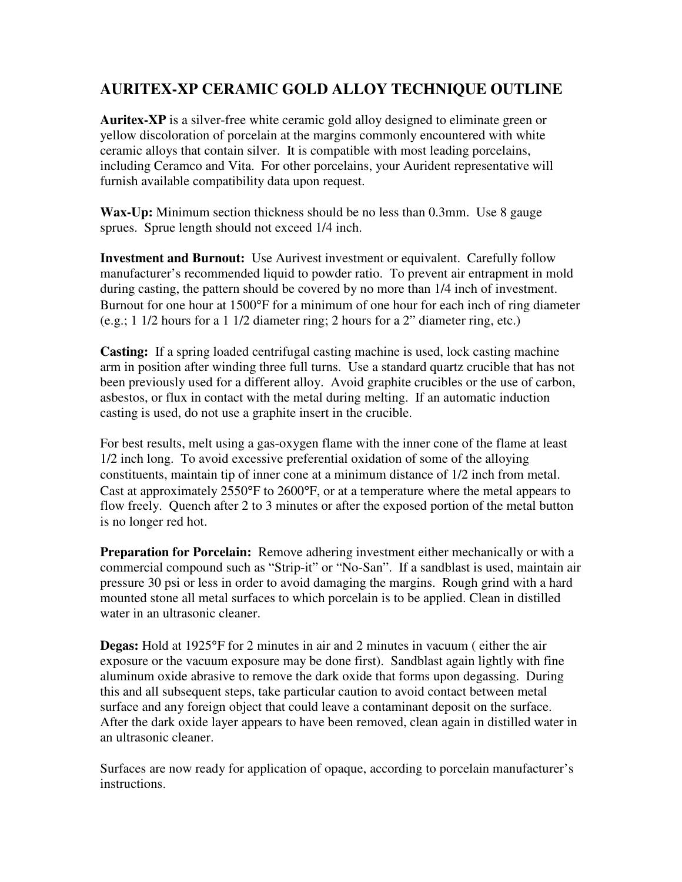## **AURITEX-XP CERAMIC GOLD ALLOY TECHNIQUE OUTLINE**

**Auritex-XP** is a silver-free white ceramic gold alloy designed to eliminate green or yellow discoloration of porcelain at the margins commonly encountered with white ceramic alloys that contain silver. It is compatible with most leading porcelains, including Ceramco and Vita. For other porcelains, your Aurident representative will furnish available compatibility data upon request.

**Wax-Up:** Minimum section thickness should be no less than 0.3mm. Use 8 gauge sprues. Sprue length should not exceed 1/4 inch.

**Investment and Burnout:** Use Aurivest investment or equivalent. Carefully follow manufacturer's recommended liquid to powder ratio. To prevent air entrapment in mold during casting, the pattern should be covered by no more than 1/4 inch of investment. Burnout for one hour at 1500°F for a minimum of one hour for each inch of ring diameter (e.g.; 1 1/2 hours for a 1 1/2 diameter ring; 2 hours for a 2" diameter ring, etc.)

**Casting:** If a spring loaded centrifugal casting machine is used, lock casting machine arm in position after winding three full turns. Use a standard quartz crucible that has not been previously used for a different alloy. Avoid graphite crucibles or the use of carbon, asbestos, or flux in contact with the metal during melting. If an automatic induction casting is used, do not use a graphite insert in the crucible.

For best results, melt using a gas-oxygen flame with the inner cone of the flame at least 1/2 inch long. To avoid excessive preferential oxidation of some of the alloying constituents, maintain tip of inner cone at a minimum distance of 1/2 inch from metal. Cast at approximately 2550°F to 2600°F, or at a temperature where the metal appears to flow freely. Quench after 2 to 3 minutes or after the exposed portion of the metal button is no longer red hot.

**Preparation for Porcelain:** Remove adhering investment either mechanically or with a commercial compound such as "Strip-it" or "No-San". If a sandblast is used, maintain air pressure 30 psi or less in order to avoid damaging the margins. Rough grind with a hard mounted stone all metal surfaces to which porcelain is to be applied. Clean in distilled water in an ultrasonic cleaner.

**Degas:** Hold at 1925°F for 2 minutes in air and 2 minutes in vacuum ( either the air exposure or the vacuum exposure may be done first). Sandblast again lightly with fine aluminum oxide abrasive to remove the dark oxide that forms upon degassing. During this and all subsequent steps, take particular caution to avoid contact between metal surface and any foreign object that could leave a contaminant deposit on the surface. After the dark oxide layer appears to have been removed, clean again in distilled water in an ultrasonic cleaner.

Surfaces are now ready for application of opaque, according to porcelain manufacturer's instructions.